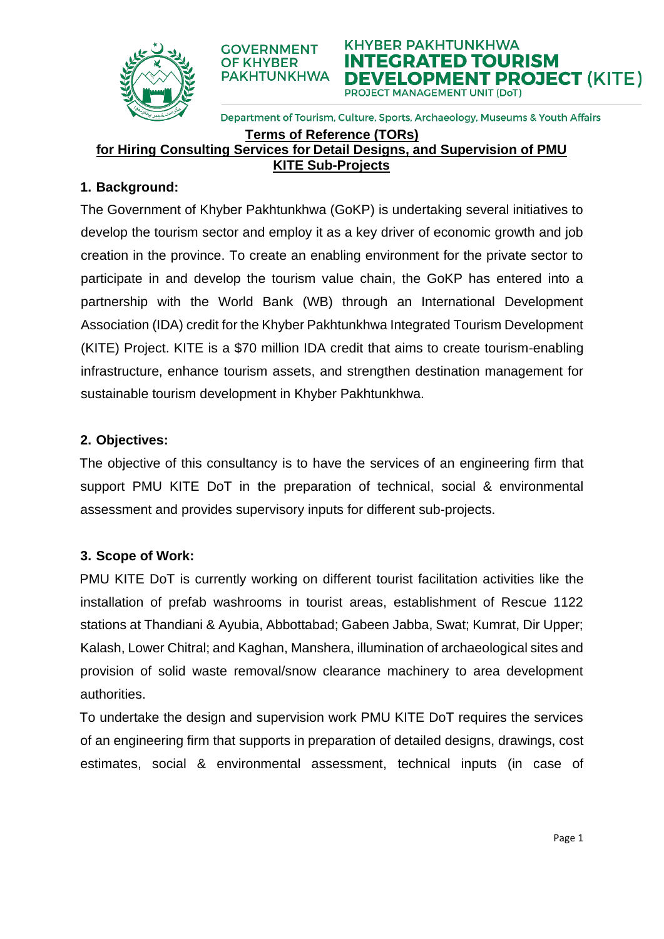



Department of Tourism, Culture, Sports, Archaeology, Museums & Youth Affairs

# **Terms of Reference (TORs)**

**OF KHYBER** 

**for Hiring Consulting Services for Detail Designs, and Supervision of PMU KITE Sub-Projects**

#### **1. Background:**

The Government of Khyber Pakhtunkhwa (GoKP) is undertaking several initiatives to develop the tourism sector and employ it as a key driver of economic growth and job creation in the province. To create an enabling environment for the private sector to participate in and develop the tourism value chain, the GoKP has entered into a partnership with the World Bank (WB) through an International Development Association (IDA) credit for the Khyber Pakhtunkhwa Integrated Tourism Development (KITE) Project. KITE is a \$70 million IDA credit that aims to create tourism-enabling infrastructure, enhance tourism assets, and strengthen destination management for sustainable tourism development in Khyber Pakhtunkhwa.

#### **2. Objectives:**

The objective of this consultancy is to have the services of an engineering firm that support PMU KITE DoT in the preparation of technical, social & environmental assessment and provides supervisory inputs for different sub-projects.

### **3. Scope of Work:**

PMU KITE DoT is currently working on different tourist facilitation activities like the installation of prefab washrooms in tourist areas, establishment of Rescue 1122 stations at Thandiani & Ayubia, Abbottabad; Gabeen Jabba, Swat; Kumrat, Dir Upper; Kalash, Lower Chitral; and Kaghan, Manshera, illumination of archaeological sites and provision of solid waste removal/snow clearance machinery to area development authorities.

To undertake the design and supervision work PMU KITE DoT requires the services of an engineering firm that supports in preparation of detailed designs, drawings, cost estimates, social & environmental assessment, technical inputs (in case of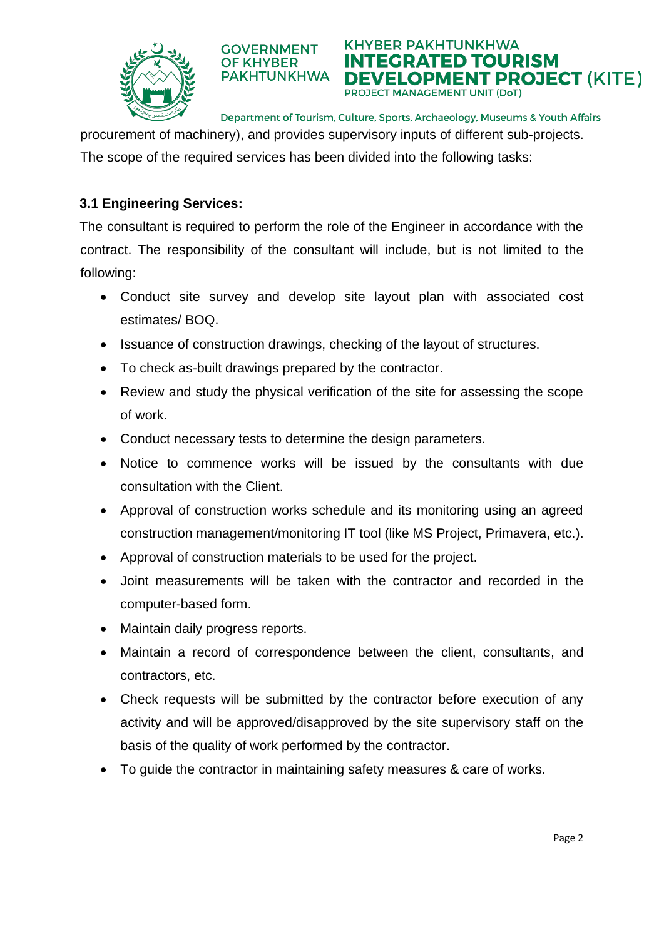

Department of Tourism, Culture, Sports, Archaeology, Museums & Youth Affairs

**KHYBER PAKHTUNKHWA** 

**PROJECT MANAGEMENT UNIT (DoT)** 

INTEGRATED TOURISM

E**VELOPMENT PROJECT** (KITE)

procurement of machinery), and provides supervisory inputs of different sub-projects. The scope of the required services has been divided into the following tasks:

## **3.1 Engineering Services:**

The consultant is required to perform the role of the Engineer in accordance with the contract. The responsibility of the consultant will include, but is not limited to the following:

- Conduct site survey and develop site layout plan with associated cost estimates/ BOQ.
- Issuance of construction drawings, checking of the layout of structures.
- To check as-built drawings prepared by the contractor.

**GOVERNMENT** 

**OF KHYBER PAKHTUNKHWA** 

- Review and study the physical verification of the site for assessing the scope of work.
- Conduct necessary tests to determine the design parameters.
- Notice to commence works will be issued by the consultants with due consultation with the Client.
- Approval of construction works schedule and its monitoring using an agreed construction management/monitoring IT tool (like MS Project, Primavera, etc.).
- Approval of construction materials to be used for the project.
- Joint measurements will be taken with the contractor and recorded in the computer-based form.
- Maintain daily progress reports.
- Maintain a record of correspondence between the client, consultants, and contractors, etc.
- Check requests will be submitted by the contractor before execution of any activity and will be approved/disapproved by the site supervisory staff on the basis of the quality of work performed by the contractor.
- To guide the contractor in maintaining safety measures & care of works.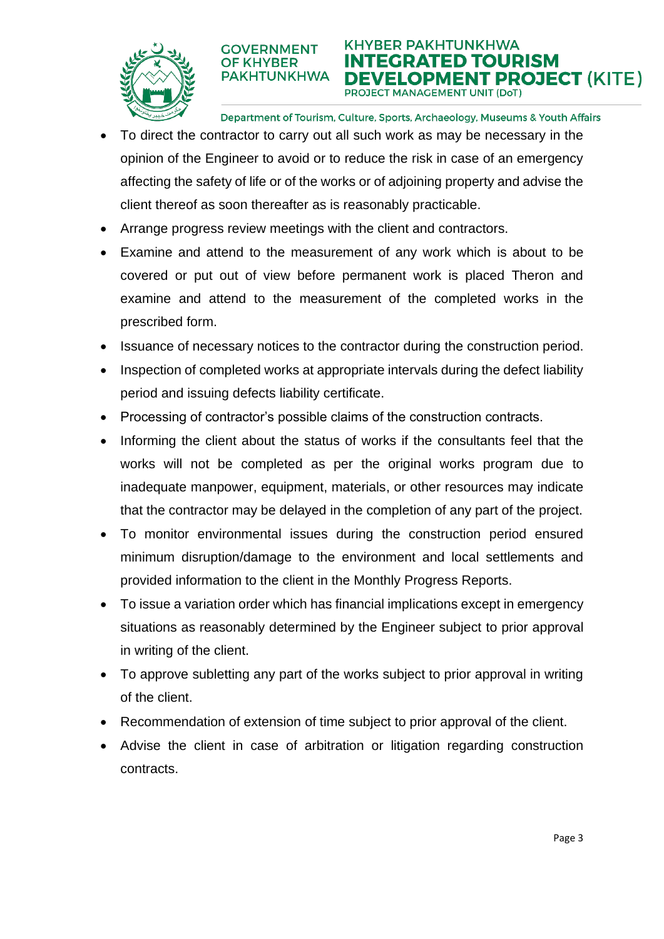

**KHYBER PAKHTUNKHWA** ITEGRATED TOURISM **PAKHTUNKHWA** E**VELOPMENT PROJECT** (KITE) PROJECT MANAGEMENT UNIT (DoT)

Department of Tourism, Culture, Sports, Archaeology, Museums & Youth Affairs

- To direct the contractor to carry out all such work as may be necessary in the opinion of the Engineer to avoid or to reduce the risk in case of an emergency affecting the safety of life or of the works or of adjoining property and advise the client thereof as soon thereafter as is reasonably practicable.
- Arrange progress review meetings with the client and contractors.

**GOVERNMENT** 

**OF KHYBER** 

- Examine and attend to the measurement of any work which is about to be covered or put out of view before permanent work is placed Theron and examine and attend to the measurement of the completed works in the prescribed form.
- Issuance of necessary notices to the contractor during the construction period.
- Inspection of completed works at appropriate intervals during the defect liability period and issuing defects liability certificate.
- Processing of contractor's possible claims of the construction contracts.
- Informing the client about the status of works if the consultants feel that the works will not be completed as per the original works program due to inadequate manpower, equipment, materials, or other resources may indicate that the contractor may be delayed in the completion of any part of the project.
- To monitor environmental issues during the construction period ensured minimum disruption/damage to the environment and local settlements and provided information to the client in the Monthly Progress Reports.
- To issue a variation order which has financial implications except in emergency situations as reasonably determined by the Engineer subject to prior approval in writing of the client.
- To approve subletting any part of the works subject to prior approval in writing of the client.
- Recommendation of extension of time subject to prior approval of the client.
- Advise the client in case of arbitration or litigation regarding construction contracts.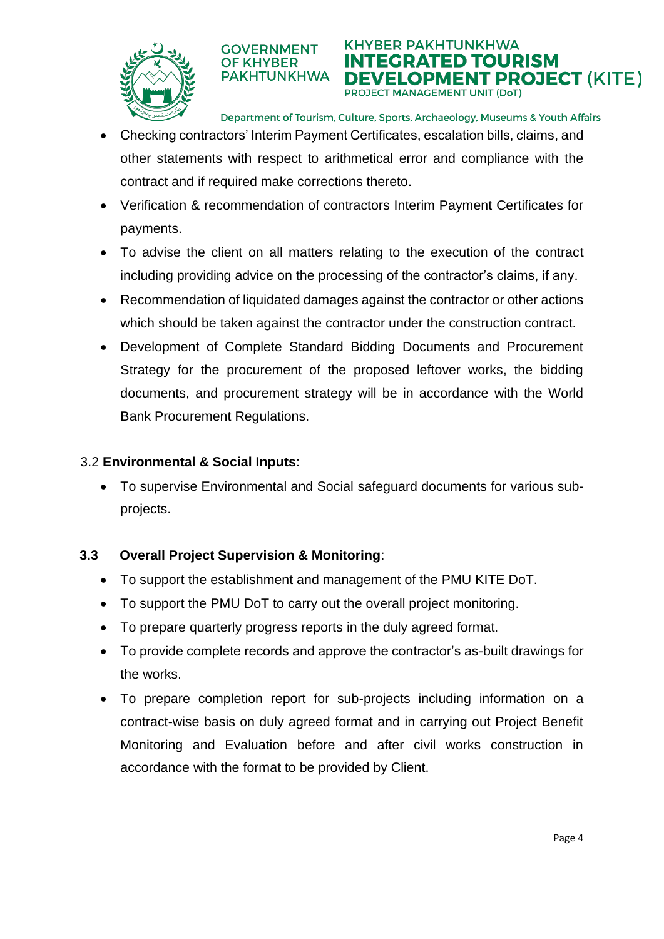

**KHYBER PAKHTUNKHWA ITEGRATED TOURISM** E**VELOPMENT PROJECT** (KITE) PROJECT MANAGEMENT UNIT (DoT)

Department of Tourism, Culture, Sports, Archaeology, Museums & Youth Affairs

• Checking contractors' Interim Payment Certificates, escalation bills, claims, and other statements with respect to arithmetical error and compliance with the contract and if required make corrections thereto.

**GOVERNMENT** 

**OF KHYBER PAKHTUNKHWA** 

- Verification & recommendation of contractors Interim Payment Certificates for payments.
- To advise the client on all matters relating to the execution of the contract including providing advice on the processing of the contractor's claims, if any.
- Recommendation of liquidated damages against the contractor or other actions which should be taken against the contractor under the construction contract.
- Development of Complete Standard Bidding Documents and Procurement Strategy for the procurement of the proposed leftover works, the bidding documents, and procurement strategy will be in accordance with the World Bank Procurement Regulations.

#### 3.2 **Environmental & Social Inputs**:

• To supervise Environmental and Social safeguard documents for various subprojects.

### **3.3 Overall Project Supervision & Monitoring**:

- To support the establishment and management of the PMU KITE DoT.
- To support the PMU DoT to carry out the overall project monitoring.
- To prepare quarterly progress reports in the duly agreed format.
- To provide complete records and approve the contractor's as-built drawings for the works.
- To prepare completion report for sub-projects including information on a contract-wise basis on duly agreed format and in carrying out Project Benefit Monitoring and Evaluation before and after civil works construction in accordance with the format to be provided by Client.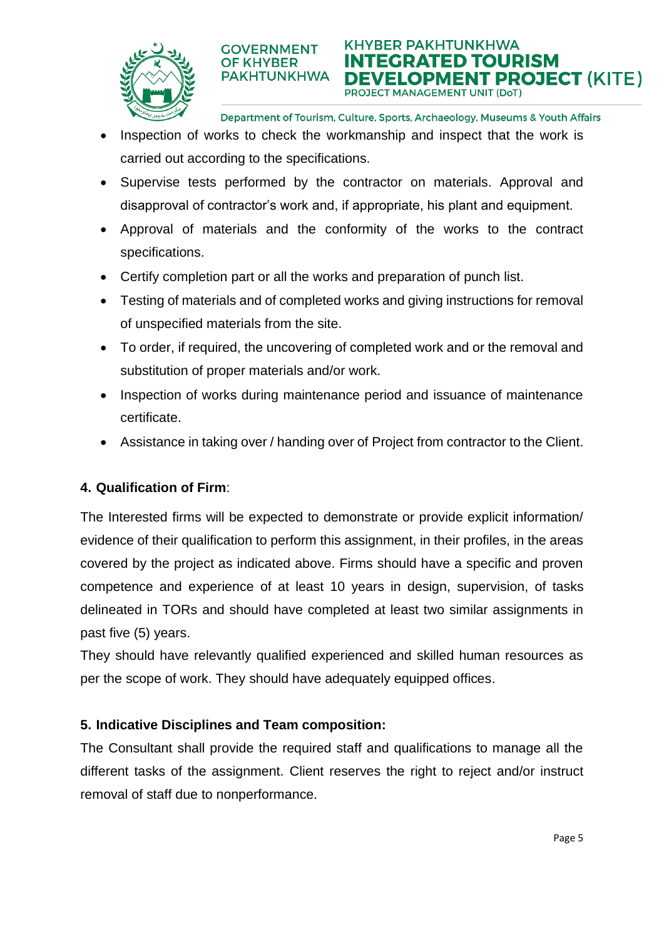



Department of Tourism, Culture, Sports, Archaeology, Museums & Youth Affairs

- Inspection of works to check the workmanship and inspect that the work is carried out according to the specifications.
- Supervise tests performed by the contractor on materials. Approval and disapproval of contractor's work and, if appropriate, his plant and equipment.
- Approval of materials and the conformity of the works to the contract specifications.
- Certify completion part or all the works and preparation of punch list.

**GOVERNMENT** 

**OF KHYBER** 

- Testing of materials and of completed works and giving instructions for removal of unspecified materials from the site.
- To order, if required, the uncovering of completed work and or the removal and substitution of proper materials and/or work.
- Inspection of works during maintenance period and issuance of maintenance certificate.
- Assistance in taking over / handing over of Project from contractor to the Client.

#### **4. Qualification of Firm**:

The Interested firms will be expected to demonstrate or provide explicit information/ evidence of their qualification to perform this assignment, in their profiles, in the areas covered by the project as indicated above. Firms should have a specific and proven competence and experience of at least 10 years in design, supervision, of tasks delineated in TORs and should have completed at least two similar assignments in past five (5) years.

They should have relevantly qualified experienced and skilled human resources as per the scope of work. They should have adequately equipped offices.

#### **5. Indicative Disciplines and Team composition:**

The Consultant shall provide the required staff and qualifications to manage all the different tasks of the assignment. Client reserves the right to reject and/or instruct removal of staff due to nonperformance.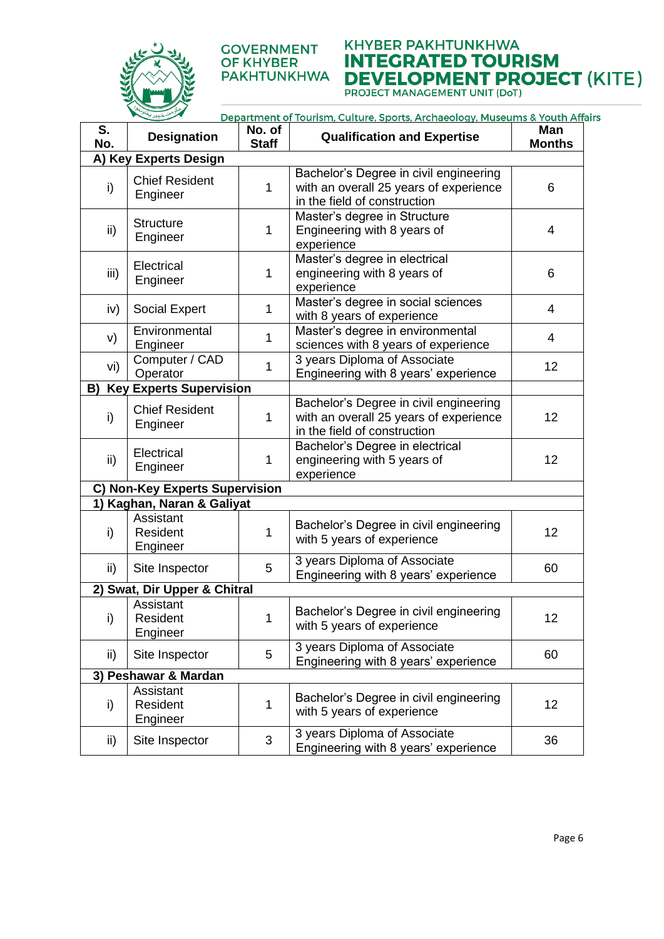

#### **GOVERNMENT OF KHYBER PAKHTUNKHWA**

# **KHYBER PAKHTUNKHWA INTEGRATED TOURISM DEVELOPMENT PROJECT (KITE)**<br>PROJECT MANAGEMENT UNIT (DoT)

Department of Tourism, Culture, Sports, Archaeology, Museums & Youth Affairs

| S.<br>No.                            | <b>Designation</b>                | No. of<br><b>Staff</b> | <b>Qualification and Expertise</b>                                                                               | Man<br><b>Months</b> |
|--------------------------------------|-----------------------------------|------------------------|------------------------------------------------------------------------------------------------------------------|----------------------|
| A) Key Experts Design                |                                   |                        |                                                                                                                  |                      |
| i)                                   | <b>Chief Resident</b><br>Engineer | 1                      | Bachelor's Degree in civil engineering<br>with an overall 25 years of experience<br>in the field of construction | 6                    |
| ii)                                  | <b>Structure</b><br>Engineer      | 1                      | Master's degree in Structure<br>Engineering with 8 years of<br>experience                                        | 4                    |
| iii)                                 | Electrical<br>Engineer            | 1                      | Master's degree in electrical<br>engineering with 8 years of<br>experience                                       | 6                    |
| iv)                                  | <b>Social Expert</b>              | 1                      | Master's degree in social sciences<br>with 8 years of experience                                                 | $\overline{4}$       |
| V)                                   | Environmental<br>Engineer         | 1                      | Master's degree in environmental<br>sciences with 8 years of experience                                          | $\overline{4}$       |
| vi)                                  | Computer / CAD<br>Operator        | 1                      | 3 years Diploma of Associate<br>Engineering with 8 years' experience                                             | 12                   |
| <b>Key Experts Supervision</b><br>B) |                                   |                        |                                                                                                                  |                      |
| i)                                   | <b>Chief Resident</b><br>Engineer | $\mathbf 1$            | Bachelor's Degree in civil engineering<br>with an overall 25 years of experience<br>in the field of construction | 12                   |
| ii)                                  | Electrical<br>Engineer            | 1                      | Bachelor's Degree in electrical<br>engineering with 5 years of<br>experience                                     | 12                   |
| C) Non-Key Experts Supervision       |                                   |                        |                                                                                                                  |                      |
| 1) Kaghan, Naran & Galiyat           |                                   |                        |                                                                                                                  |                      |
| i)                                   | Assistant<br>Resident<br>Engineer | 1                      | Bachelor's Degree in civil engineering<br>with 5 years of experience                                             | 12                   |
| ii)                                  | Site Inspector                    | 5                      | 3 years Diploma of Associate<br>Engineering with 8 years' experience                                             | 60                   |
| 2) Swat, Dir Upper & Chitral         |                                   |                        |                                                                                                                  |                      |
| $\mathsf{i}$                         | Assistant<br>Resident<br>Engineer | 1                      | Bachelor's Degree in civil engineering<br>with 5 years of experience                                             | 12                   |
| ii)                                  | Site Inspector                    | 5                      | 3 years Diploma of Associate<br>Engineering with 8 years' experience                                             | 60                   |
| 3) Peshawar & Mardan                 |                                   |                        |                                                                                                                  |                      |
| i)                                   | Assistant<br>Resident<br>Engineer | 1                      | Bachelor's Degree in civil engineering<br>with 5 years of experience                                             | 12                   |
| ii)                                  | Site Inspector                    | 3                      | 3 years Diploma of Associate<br>Engineering with 8 years' experience                                             | 36                   |